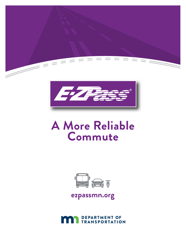



# **A More Reliable Commute**



# **ezpassmn.org**

**DEPARTMENT OF TRANSPORTATION**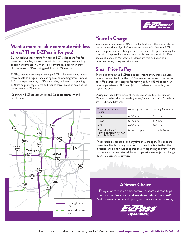

#### **Want a more reliable commute with less stress? Then E-ZPass is for you!**

During peak weekday hours, Minnesota E-ZPass lanes are free for buses, motorcycles, and vehicles with two or more people including children and infants (HOV 2+). Solo drivers pay a fee when they choose to use E-ZPass during peak hours in Minnesota.

E-ZPass moves more people! A single E-ZPass lane can move twice as many people as a regular lane during peak commuting times—in fact, 80% of the people using E-ZPass are riding on buses or carpooling. E-ZPass helps manage traffic and reduce travel times on some of the busiest roads in Minnesota.

Opening an E-ZPass account is easy! Go to **ezpassmn.org** and enroll today.



## **You're In Charge**

You choose when to use E-ZPass. The fee to drive in the E-ZPass lane is posted on overhead signs before each entrance point into the E-ZPass lane. The price you see when you enter the lane, is the price you pay for your trip. The posted amount is deducted from your prepaid E-ZPass account balance. In Minnesota, the lanes are free and open to all motorists during non-peak drive times.

# **Small Price To Pay**

The fee to drive in the E-ZPass lane can change every three minutes. Fees increase as traffic in the E-ZPass lane increases, and it decreases as traffic decreases to keep traffic moving at 50 to 55 miles per hour. Fees range between \$0.25 and \$8.00. The heavier the traffic, the higher the price.

During non-peak drive times, all motorists can use E-ZPass lanes in Minnesota. When the overhead sign says, "open to all traffic," the lanes are FREE for all drivers!

| Minnesota E-ZPass<br>Hours                                      | Morning Commute   Evening Commute |                  |
|-----------------------------------------------------------------|-----------------------------------|------------------|
| $ $ I-35E                                                       | $6-10$ a.m.                       | $3 - 7 p.m.$     |
| $ $ I-35W                                                       | $6-10$ a.m.                       | $3 - 7 p.m.$     |
| $1 - 394$                                                       | $6-10$ a.m.                       | $3 - 7 p.m.$     |
| Reversible Lanes*<br>I-394 between Hwy 100<br>and I-94 in Mpls. | 6 a.m. to 1 p.m.                  | 2 p.m. to 5 a.m. |

\*The reversible lanes are priced any time they are open. The lanes are closed to all traffic during transition from one direction to the other direction. Weekend hours of operation vary depending on events in the surrounding communities. All hours of operation are subject to change due to maintenance activities.

#### **A Smart Choice**

Enjoy a more reliable daily commute, seamless road trips across E-ZPass states, and less stress behind the wheel! Make a smart choice and open your E-ZPass account today.

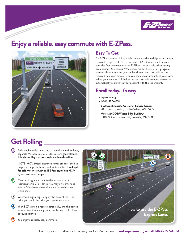

# **Enjoy a reliable, easy commute with E-ZPass.**



#### **Easy To Get**

An E-ZPass account is like a debit account—the initial prepaid amount required to open an E-ZPass account is \$25. Your account balance pays the fees when you use the E-ZPass lane as a solo driver during peak hours in Minnesota. When you enroll in the E-ZPass program, you can choose to leave your replenishment and threshold at the required minimum amounts, or you can choose amounts of your own. When your account falls below the set threshold amount, the system automatically replenishes your account with the set amount.

## **Enroll today, it's easy!**

- **ezpassmn.org**
- **1-866-397-4334**
- **E-ZPass Minnesota Customer Service Center** 2055 Lilac Drive N., Golden Valley, MN 55422
- **Metro MnDOT/Waters Edge Building** 1500 W. County Road B2, Roseville, MN 55113

# **Get Rolling**

Solid double white lines, and dashed double white lines, **1 2 3 4 5** separate Minnesota E-ZPass lanes from general lanes. **It is always illegal to cross solid double white lines.**

NOTE: HOV bypass entrance ramps are restricted to carpools, vanpools, buses, and motorcycles. **It is illegal for solo motorists with an E-ZPass tag to use HOV bypass entrance ramps.**

- **12** Overhead signs alert you to the entry and exit locations for E-ZPass lanes. You may only enter and exit E-ZPass lanes where there are dashed double white lines.
- Overhead digital signs display the current fee—the **1 2 3 4 5** price you see is the price you pay for your trip.
	- Your E-ZPass tag is read electronically, and the posted amount is automatically deducted from your E-ZPass account balance. **1 2 3 4 5**
		- You enjoy a reliable, easy commute.

**1 2 3 4 5**

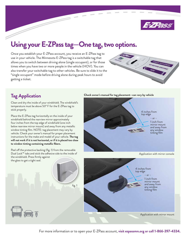

# **Using your E-ZPass tag—One tag, two options.**

Once you establish your E-ZPass account, you receive an E-ZPass tag to use in your vehicle. The Minnesota E-ZPass tag is a switchable tag that allows you to switch between driving alone (single occupant), or for those times when you have two or more people in the vehicle (HOV). You can also transfer your switchable tag to other vehicles. Be sure to slide it to the "single occupant" mode before driving alone during peak hours to avoid getting a ticket.



#### **Tag Application**

Clean and dry the inside of your windshield. The windshield's temperature must be above 50º F for the E-ZPass tag to stick properly.

Place the E-ZPass tag horizontally on the inside of your windshield behind the rearview mirror approximately four inches from the top edge of windshield (one inch below rearview mirror mount) and away from any metallic window tinting film. NOTE: tag placement may vary by vehicle. Check your owner's manual for proper placement instructions for the make and model of your vehicle. **The tag will not work if it is not horizontal, or if it is placed too close to window tinting containing metallic fibers.**



**Check owner's manual for tag placement—can vary by vehicle**

Application with mirror mount